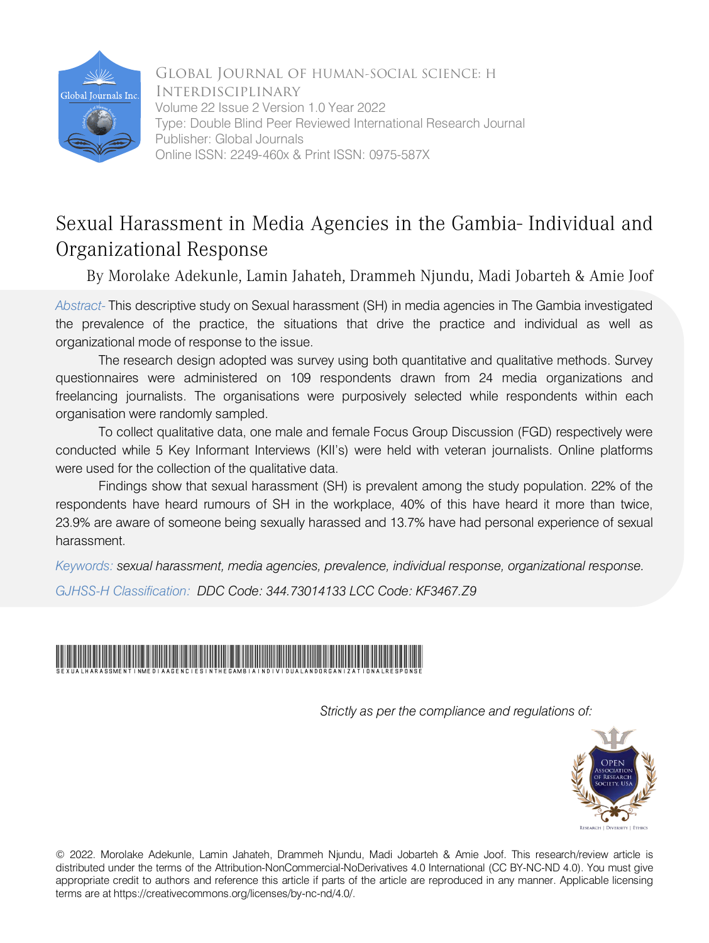

 Volume 22 Issue 2 Version 1.0 Year 2022 Global Journal of HUMAN-SOCIAL SCIENCE: H **INTERDISCIPLINARY** Type: Double Blind Peer Reviewed International Research Journal Publisher: Global Journals Online ISSN: 2249-460x & Print ISSN: 0975-587X

# Sexual Harassment in Media Agencies in the Gambia- Individual and Organizational Response

By Morolake Adekunle, Lamin Jahateh, Drammeh Njundu, Madi Jobarteh & Amie Joof

 *Abstract-* This descriptive study on Sexual harassment (SH) in media agencies in The Gambia investigated the prevalence of the practice, the situations that drive the practice and individual as well as organizational mode of response to the issue.

The research design adopted was survey using both quantitative and qualitative methods. Survey questionnaires were administered on 109 respondents drawn from 24 media organizations and freelancing journalists. The organisations were purposively selected while respondents within each organisation were randomly sampled.

To collect qualitative data, one male and female Focus Group Discussion (FGD) respectively were conducted while 5 Key Informant Interviews (KII's) were held with veteran journalists. Online platforms were used for the collection of the qualitative data.

Findings show that sexual harassment (SH) is prevalent among the study population. 22% of the respondents have heard rumours of SH in the workplace, 40% of this have heard it more than twice, 23.9% are aware of someone being sexually harassed and 13.7% have had personal experience of sexual harassment.

*Keywords: sexual harassment, media agencies, prevalence, individual response, organizational response. GJHSS-H Classification: DDC Code: 344.73014133 LCC Code: KF3467.Z9*



 *Strictly as per the compliance and regulations of:*



© 2022. Morolake Adekunle, Lamin Jahateh, Drammeh Njundu, Madi Jobarteh & Amie Joof. This research/review article is distributed under the terms of the Attribution-NonCommercial-NoDerivatives 4.0 International (CC BY-NC-ND 4.0). You must give appropriate credit to authors and reference this article if parts of the article are reproduced in any manner. Applicable licensing terms are at https://creativecommons.org/licenses/by-nc-nd/4.0/.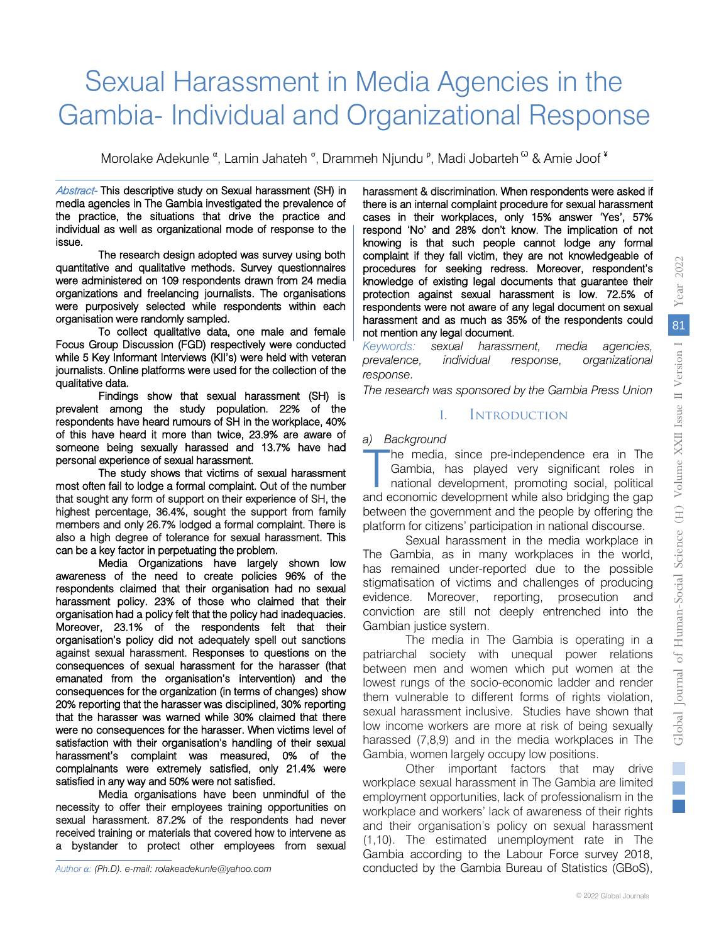# Sexual Harassment in Media Agencies in the Gambia- Individual and Organizational Response

Morolake Adekunle <sup>α</sup>, Lamin Jahateh <sup>σ</sup>, Drammeh Njundu <sup>ρ</sup>, Madi Jobarteh <sup>ω</sup> & Amie Joof <sup>¥</sup>

Abstract- This descriptive study on Sexual harassment (SH) in the practice, the situations that drive the practice and media agencies in The Gambia investigated the prevalence of individual as well as organizational mode of response to the issue.

 quantitative and qualitative methods. Survey questionnaires The research design adopted was survey using both were administered on 109 respondents drawn from 24 media organizations and freelancing journalists. The organisations were purposively selected while respondents within each organisation were randomly sampled.

 Focus Group Discussion (FGD) respectively were conducted To collect qualitative data, one male and female while 5 Key Informant Interviews (KII's) were held with veteran journalists. Online platforms were used for the collection of the qualitative data.

 prevalent among the study population. 22% of the Findings show that sexual harassment (SH) is respondents have heard rumours of SH in the workplace, 40% of this have heard it more than twice, 23.9% are aware of someone being sexually harassed and 13.7% have had personal experience of sexual harassment.

 most often fail to lodge a formal complaint. Out of the number The study shows that victims of sexual harassment highest percentage, 36.4%, sought the support from family that sought any form of support on their experience of SH, the members and only 26.7% lodged a formal complaint. There is also a high degree of tolerance for sexual harassment. This can be a key factor in perpetuating the problem.

 awareness of the need to create policies 96% of the Media Organizations have largely shown low respondents claimed that their organisation had no sexual harassment policy. 23% of those who claimed that their organisation had a policy felt that the policy had inadequacies. Moreover, 23.1% of the respondents felt that their organisation's policy did not adequately spell out sanctions consequences of sexual harassment for the harasser (that against sexual harassment. Responses to questions on the emanated from the organisation's intervention) and the consequences for the organization (in terms of changes) show 20% reporting that the harasser was disciplined, 30% reporting that the harasser was warned while 30% claimed that there satisfaction with their organisation's handling of their sexual were no consequences for the harasser. When victims level of harassment's complaint was measured, 0% of the complainants were extremely satisfied, only 21.4% were satisfied in any way and 50% were not satisfied.

 necessity to offer their employees training opportunities on Media organisations have been unmindful of the sexual harassment. 87.2% of the respondents had never received training or materials that covered how to intervene as a bystander to protect other employees from sexual

*Author α: (Ph.D). e-mail: rolakeadekunle@yahoo.com*

harassment & discrimination. When respondents were asked if there is an internal complaint procedure for sexual harassment cases in their workplaces, only 15% answer 'Yes', 57% respond 'No' and 28% don't know. The implication of not knowing is that such people cannot lodge any formal complaint if they fall victim, they are not knowledgeable of procedures for seeking redress. Moreover, respondent's knowledge of existing legal documents that guarantee their protection against sexual harassment is low. 72.5% of respondents were not aware of any legal document on sexual harassment and as much as 35% of the respondents could not mention any legal document.

*Keywords: sexual harassment, media agencies, prevalence, individual response, organizational response.*

*The research was sponsored by the Gambia Press Union*

# I. Introduction

#### *a) Background*

he media, since pre-independence era in The Gambia, has played very significant roles in national development, promoting social, political he media, since pre-independence era in The Gambia, has played very significant roles in national development, promoting social, political and economic development while also bridging the gap between the government and the people by offering the platform for citizens' participation in national discourse.

Sexual harassment in the media workplace in The Gambia, as in many workplaces in the world, has remained under-reported due to the possible stigmatisation of victims and challenges of producing evidence. Moreover, reporting, prosecution and conviction are still not deeply entrenched into the Gambian justice system.

The media in The Gambia is operating in a patriarchal society with unequal power relations between men and women which put women at the lowest rungs of the socio-economic ladder and render them vulnerable to different forms of rights violation, sexual harassment inclusive. Studies have shown that low income workers are more at risk of being sexually harassed (7,8,9) and in the media workplaces in The Gambia, women largely occupy low positions.

Other important factors that may drive workplace sexual harassment in The Gambia are limited employment opportunities, lack of professionalism in the workplace and workers' lack of awareness of their rights and their organisation's policy on sexual harassment (1,10). The estimated unemployment rate in The Gambia according to the Labour Force survey 2018, conducted by the Gambia Bureau of Statistics (GBoS), F.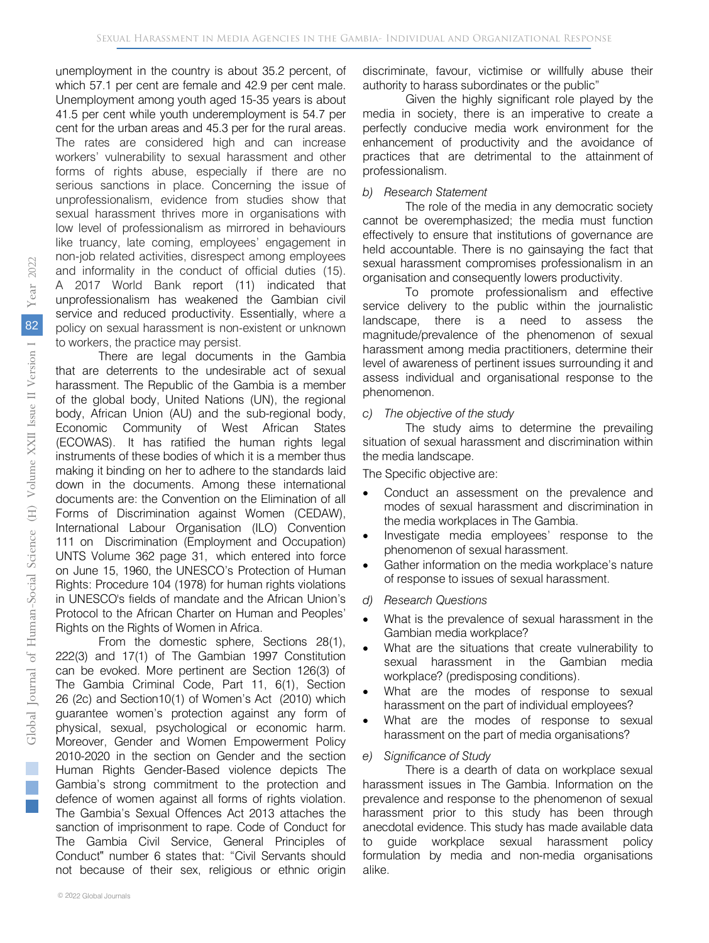unemployment in the country is about 35.2 percent, of which 57.1 per cent are female and 42.9 per cent male. Unemployment among youth aged 15-35 years is about 41.5 per cent while youth underemployment is 54.7 per cent for the urban areas and 45.3 per for the rural areas. The rates are considered high and can increase workers' vulnerability to sexual harassment and other forms of rights abuse, especially if there are no serious sanctions in place. Concerning the issue of unprofessionalism, evidence from studies show that sexual harassment thrives more in organisations with low level of professionalism as mirrored in behaviours like truancy, late coming, employees' engagement in non-job related activities, disrespect among employees and informality in the conduct of official duties (15). A 2017 World Bank report (11) indicated that unprofessionalism has weakened the Gambian civil service and reduced productivity. Essentially, where a policy on sexual harassment is non-existent or unknown to workers, the practice may persist.

There are legal documents in the Gambia that are deterrents to the undesirable act of sexual harassment. The Republic of the Gambia is a member of the global body, United Nations (UN), the regional body, African Union (AU) and the sub-regional body, Economic Community of West African States (ECOWAS). It has ratified the human rights legal instruments of these bodies of which it is a member thus making it binding on her to adhere to the standards laid down in the documents. Among these international documents are: the Convention on the Elimination of all Forms of Discrimination against Women (CEDAW), International Labour Organisation (ILO) Convention 111 on Discrimination (Employment and Occupation) UNTS Volume 362 page 31, which entered into force on June 15, 1960, the UNESCO's Protection of Human Rights: Procedure 104 (1978) for human rights violations in UNESCO's fields of mandate and the African Union's Protocol to the African Charter on Human and Peoples' Rights on the Rights of Women in Africa.

From the domestic sphere, Sections 28(1), 222(3) and 17(1) of The Gambian 1997 Constitution can be evoked. More pertinent are Section 126(3) of The Gambia Criminal Code, Part 11, 6(1), Section 26 (2c) and Section10(1) of Women's Act (2010) which guarantee women's protection against any form of physical, sexual, psychological or economic harm. Moreover, Gender and Women Empowerment Policy 2010-2020 in the section on Gender and the section Human Rights Gender-Based violence depicts The Gambia's strong commitment to the protection and defence of women against all forms of rights violation. The Gambia's Sexual Offences Act 2013 attaches the sanction of imprisonment to rape. Code of Conduct for The Gambia Civil Service, General Principles of Conduct" number 6 states that: "Civil Servants should not because of their sex, religious or ethnic origin

discriminate, favour, victimise or willfully abuse their authority to harass subordinates or the public"

Given the highly significant role played by the media in society, there is an imperative to create a perfectly conducive media work environment for the enhancement of productivity and the avoidance of practices that are detrimental to the attainment of professionalism.

#### *b) Research Statement*

The role of the media in any democratic society cannot be overemphasized; the media must function effectively to ensure that institutions of governance are held accountable. There is no gainsaying the fact that sexual harassment compromises professionalism in an organisation and consequently lowers productivity.

To promote professionalism and effective service delivery to the public within the journalistic landscape, there is a need to assess the magnitude/prevalence of the phenomenon of sexual harassment among media practitioners, determine their level of awareness of pertinent issues surrounding it and assess individual and organisational response to the phenomenon.

#### *c) The objective of the study*

The study aims to determine the prevailing situation of sexual harassment and discrimination within the media landscape.

The Specific objective are:

- Conduct an assessment on the prevalence and modes of sexual harassment and discrimination in the media workplaces in The Gambia.
- Investigate media employees' response to the phenomenon of sexual harassment.
- Gather information on the media workplace's nature of response to issues of sexual harassment.
- *d) Research Questions*
- What is the prevalence of sexual harassment in the Gambian media workplace?
- What are the situations that create vulnerability to sexual harassment in the Gambian media workplace? (predisposing conditions).
- What are the modes of response to sexual harassment on the part of individual employees?
- What are the modes of response to sexual harassment on the part of media organisations?

#### *e) Significance of Study*

There is a dearth of data on workplace sexual harassment issues in The Gambia. Information on the prevalence and response to the phenomenon of sexual harassment prior to this study has been through anecdotal evidence. This study has made available data to guide workplace sexual harassment policy formulation by media and non-media organisations alike.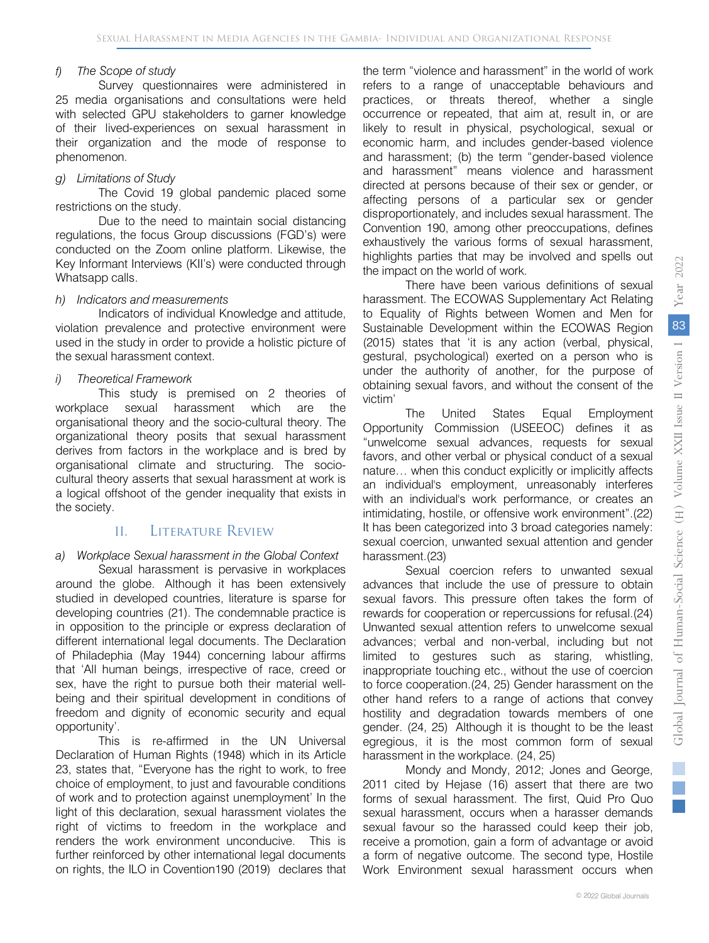#### *f) The Scope of study*

Survey questionnaires were administered in 25 media organisations and consultations were held with selected GPU stakeholders to garner knowledge of their lived-experiences on sexual harassment in their organization and the mode of response to phenomenon.

#### *g) Limitations of Study*

The Covid 19 global pandemic placed some restrictions on the study.

Due to the need to maintain social distancing regulations, the focus Group discussions (FGD's) were conducted on the Zoom online platform. Likewise, the Key Informant Interviews (KII's) were conducted through Whatsapp calls.

#### *h) Indicators and measurements*

Indicators of individual Knowledge and attitude, violation prevalence and protective environment were used in the study in order to provide a holistic picture of the sexual harassment context.

#### *i) Theoretical Framework*

This study is premised on 2 theories of<br>ce sexual harassment which are the workplace sexual harassment which organisational theory and the socio-cultural theory. The organizational theory posits that sexual harassment derives from factors in the workplace and is bred by organisational climate and structuring. The sociocultural theory asserts that sexual harassment at work is a logical offshoot of the gender inequality that exists in the society.

# II. Literature Review

#### *a) Workplace Sexual harassment in the Global Context*

Sexual harassment is pervasive in workplaces around the globe. Although it has been extensively studied in developed countries, literature is sparse for developing countries (21). The condemnable practice is in opposition to the principle or express declaration of different international legal documents. The Declaration of Philadephia (May 1944) concerning labour affirms that 'All human beings, irrespective of race, creed or sex, have the right to pursue both their material wellbeing and their spiritual development in conditions of freedom and dignity of economic security and equal opportunity'.

This is re-affirmed in the UN Universal Declaration of Human Rights (1948) which in its Article 23, states that, "Everyone has the right to work, to free choice of employment, to just and favourable conditions of work and to protection against unemployment' In the light of this declaration, sexual harassment violates the right of victims to freedom in the workplace and renders the work environment unconducive. This is further reinforced by other international legal documents on rights, the ILO in Covention190 (2019) declares that

the term "violence and harassment" in the world of work refers to a range of unacceptable behaviours and practices, or threats thereof, whether a single occurrence or repeated, that aim at, result in, or are likely to result in physical, psychological, sexual or economic harm, and includes gender-based violence and harassment; (b) the term "gender-based violence and harassment" means violence and harassment directed at persons because of their sex or gender, or affecting persons of a particular sex or gender disproportionately, and includes sexual harassment. The Convention 190, among other preoccupations, defines exhaustively the various forms of sexual harassment, highlights parties that may be involved and spells out the impact on the world of work.

There have been various definitions of sexual harassment. The ECOWAS Supplementary Act Relating to Equality of Rights between Women and Men for Sustainable Development within the ECOWAS Region (2015) states that 'it is any action (verbal, physical, gestural, psychological) exerted on a person who is under the authority of another, for the purpose of obtaining sexual favors, and without the consent of the victim'

The United States Equal Employment Opportunity Commission (USEEOC) defines it as "unwelcome sexual advances, requests for sexual favors, and other verbal or physical conduct of a sexual nature… when this conduct explicitly or implicitly affects an individual's employment, unreasonably interferes with an individual's work performance, or creates an intimidating, hostile, or offensive work environment".(22) It has been categorized into 3 broad categories namely: sexual coercion, unwanted sexual attention and gender harassment.(23)

Sexual coercion refers to unwanted sexual advances that include the use of pressure to obtain sexual favors. This pressure often takes the form of rewards for cooperation or repercussions for refusal.(24) Unwanted sexual attention refers to unwelcome sexual advances; verbal and non-verbal, including but not limited to gestures such as staring, whistling, inappropriate touching etc., without the use of coercion to force cooperation.(24, 25) Gender harassment on the other hand refers to a range of actions that convey hostility and degradation towards members of one gender. (24, 25) Although it is thought to be the least egregious, it is the most common form of sexual harassment in the workplace. (24, 25)

Mondy and Mondy, 2012; Jones and George, 2011 cited by Hejase (16) assert that there are two forms of sexual harassment. The first, Quid Pro Quo sexual harassment, occurs when a harasser demands sexual favour so the harassed could keep their job, receive a promotion, gain a form of advantage or avoid a form of negative outcome. The second type, Hostile Work Environment sexual harassment occurs when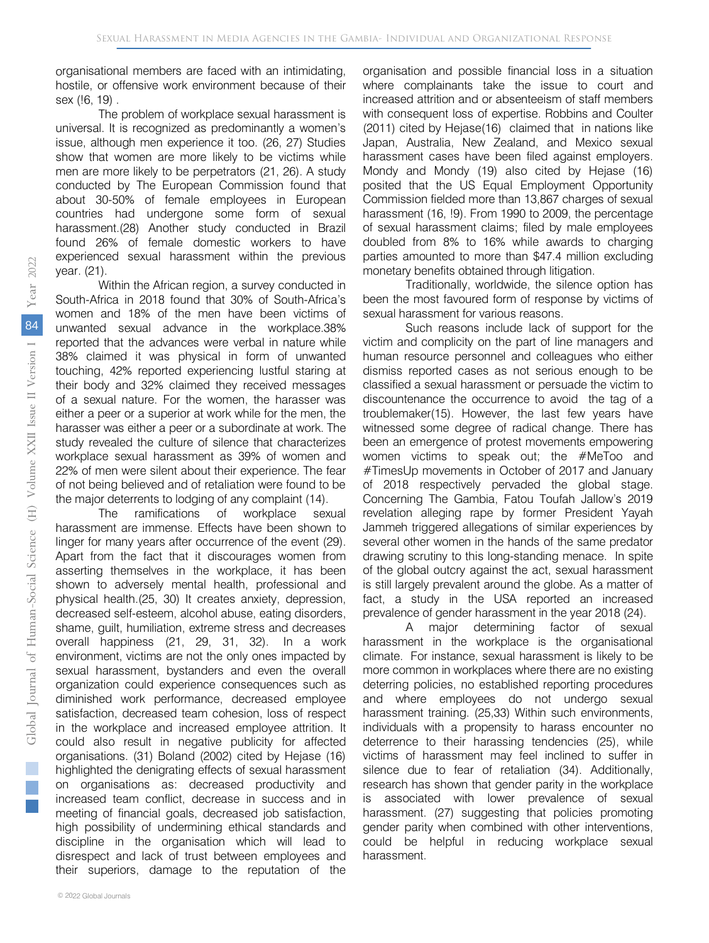organisational members are faced with an intimidating, hostile, or offensive work environment because of their sex (!6, 19) .

The problem of workplace sexual harassment is universal. It is recognized as predominantly a women's issue, although men experience it too. (26, 27) Studies show that women are more likely to be victims while men are more likely to be perpetrators (21, 26). A study conducted by The European Commission found that about 30-50% of female employees in European countries had undergone some form of sexual harassment.(28) Another study conducted in Brazil found 26% of female domestic workers to have experienced sexual harassment within the previous year. (21).

Within the African region, a survey conducted in South-Africa in 2018 found that 30% of South-Africa's women and 18% of the men have been victims of unwanted sexual advance in the workplace.38% reported that the advances were verbal in nature while 38% claimed it was physical in form of unwanted touching, 42% reported experiencing lustful staring at their body and 32% claimed they received messages of a sexual nature. For the women, the harasser was either a peer or a superior at work while for the men, the harasser was either a peer or a subordinate at work. The study revealed the culture of silence that characterizes workplace sexual harassment as 39% of women and 22% of men were silent about their experience. The fear of not being believed and of retaliation were found to be the major deterrents to lodging of any complaint (14).

The ramifications of workplace sexual harassment are immense. Effects have been shown to linger for many years after occurrence of the event (29). Apart from the fact that it discourages women from asserting themselves in the workplace, it has been shown to adversely mental health, professional and physical health.(25, 30) It creates anxiety, depression, decreased self-esteem, alcohol abuse, eating disorders, shame, guilt, humiliation, extreme stress and decreases overall happiness (21, 29, 31, 32). In a work environment, victims are not the only ones impacted by sexual harassment, bystanders and even the overall organization could experience consequences such as diminished work performance, decreased employee satisfaction, decreased team cohesion, loss of respect in the workplace and increased employee attrition. It could also result in negative publicity for affected organisations. (31) Boland (2002) cited by Hejase (16) highlighted the denigrating effects of sexual harassment on organisations as: decreased productivity and increased team conflict, decrease in success and in meeting of financial goals, decreased job satisfaction, high possibility of undermining ethical standards and discipline in the organisation which will lead to disrespect and lack of trust between employees and their superiors, damage to the reputation of the

organisation and possible financial loss in a situation where complainants take the issue to court and increased attrition and or absenteeism of staff members with consequent loss of expertise. Robbins and Coulter (2011) cited by Hejase(16) claimed that in nations like Japan, Australia, New Zealand, and Mexico sexual harassment cases have been filed against employers. Mondy and Mondy (19) also cited by Hejase (16) posited that the US Equal Employment Opportunity Commission fielded more than 13,867 charges of sexual harassment (16, !9). From 1990 to 2009, the percentage of sexual harassment claims; filed by male employees doubled from 8% to 16% while awards to charging parties amounted to more than \$47.4 million excluding monetary benefits obtained through litigation.

Traditionally, worldwide, the silence option has been the most favoured form of response by victims of sexual harassment for various reasons.

Such reasons include lack of support for the victim and complicity on the part of line managers and human resource personnel and colleagues who either dismiss reported cases as not serious enough to be classified a sexual harassment or persuade the victim to discountenance the occurrence to avoid the tag of a troublemaker(15). However, the last few years have witnessed some degree of radical change. There has been an emergence of protest movements empowering women victims to speak out; the #MeToo and #TimesUp movements in October of 2017 and January of 2018 respectively pervaded the global stage. Concerning The Gambia, Fatou Toufah Jallow's 2019 revelation alleging rape by former President Yayah Jammeh triggered allegations of similar experiences by several other women in the hands of the same predator drawing scrutiny to this long-standing menace. In spite of the global outcry against the act, sexual harassment is still largely prevalent around the globe. As a matter of fact, a study in the USA reported an increased prevalence of gender harassment in the year 2018 (24).

A major determining factor of sexual harassment in the workplace is the organisational climate. For instance, sexual harassment is likely to be more common in workplaces where there are no existing deterring policies, no established reporting procedures and where employees do not undergo sexual harassment training. (25,33) Within such environments, individuals with a propensity to harass encounter no deterrence to their harassing tendencies (25), while victims of harassment may feel inclined to suffer in silence due to fear of retaliation (34). Additionally, research has shown that gender parity in the workplace is associated with lower prevalence of sexual harassment. (27) suggesting that policies promoting gender parity when combined with other interventions, could be helpful in reducing workplace sexual harassment.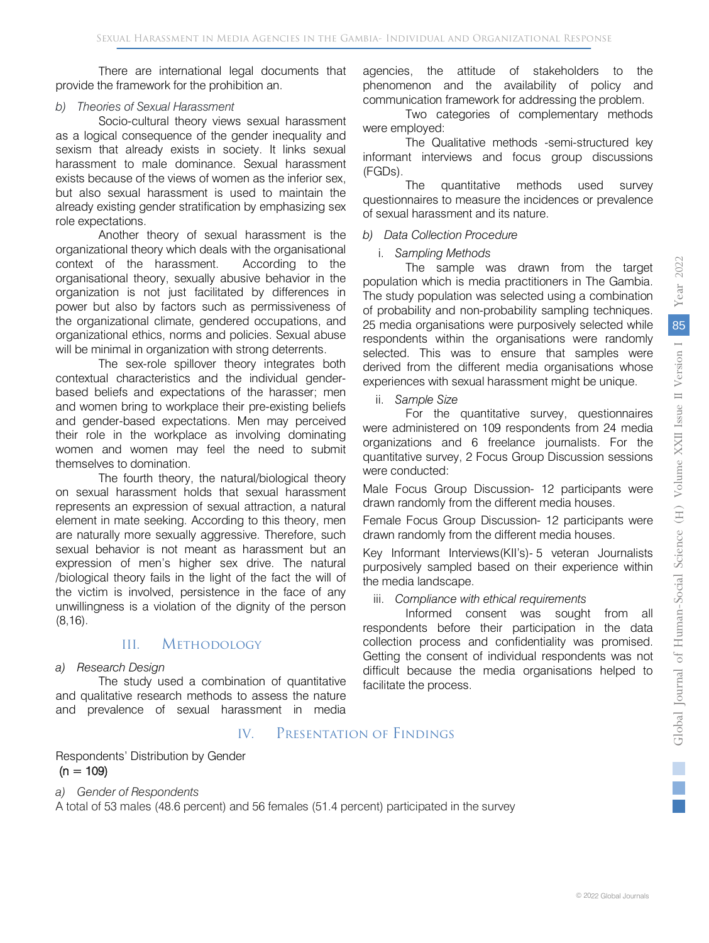There are international legal documents that provide the framework for the prohibition an.

#### *b) Theories of Sexual Harassment*

Socio-cultural theory views sexual harassment as a logical consequence of the gender inequality and sexism that already exists in society. It links sexual harassment to male dominance. Sexual harassment exists because of the views of women as the inferior sex, but also sexual harassment is used to maintain the already existing gender stratification by emphasizing sex role expectations.

Another theory of sexual harassment is the organizational theory which deals with the organisational context of the harassment. According to the organisational theory, sexually abusive behavior in the organization is not just facilitated by differences in power but also by factors such as permissiveness of the organizational climate, gendered occupations, and organizational ethics, norms and policies. Sexual abuse will be minimal in organization with strong deterrents.

The sex-role spillover theory integrates both contextual characteristics and the individual genderbased beliefs and expectations of the harasser; men and women bring to workplace their pre-existing beliefs and gender-based expectations. Men may perceived their role in the workplace as involving dominating women and women may feel the need to submit themselves to domination.

The fourth theory, the natural/biological theory on sexual harassment holds that sexual harassment represents an expression of sexual attraction, a natural element in mate seeking. According to this theory, men are naturally more sexually aggressive. Therefore, such sexual behavior is not meant as harassment but an expression of men's higher sex drive. The natural /biological theory fails in the light of the fact the will of the victim is involved, persistence in the face of any unwillingness is a violation of the dignity of the person (8,16).

# III. Methodology

#### *a) Research Design*

The study used a combination of quantitative and qualitative research methods to assess the nature and prevalence of sexual harassment in media

# IV. Presentation of Findings

Respondents' Distribution by Gender  $(n = 109)$ 

#### *a) Gender of Respondents*

A total of 53 males (48.6 percent) and 56 females (51.4 percent) participated in the survey

agencies, the attitude of stakeholders to the phenomenon and the availability of policy and communication framework for addressing the problem.

Two categories of complementary methods were employed:

The Qualitative methods -semi-structured key informant interviews and focus group discussions (FGDs).

The quantitative methods used survey questionnaires to measure the incidences or prevalence of sexual harassment and its nature.

#### *b) Data Collection Procedure*

#### i. *Sampling Methods*

The sample was drawn from the target population which is media practitioners in The Gambia. The study population was selected using a combination of probability and non-probability sampling techniques. 25 media organisations were purposively selected while respondents within the organisations were randomly selected. This was to ensure that samples were derived from the different media organisations whose experiences with sexual harassment might be unique.

ii. *Sample Size*

For the quantitative survey, questionnaires were administered on 109 respondents from 24 media organizations and 6 freelance journalists. For the quantitative survey, 2 Focus Group Discussion sessions were conducted:

Male Focus Group Discussion- 12 participants were drawn randomly from the different media houses.

Female Focus Group Discussion- 12 participants were drawn randomly from the different media houses.

Key Informant Interviews(KII's)- 5 veteran Journalists purposively sampled based on their experience within the media landscape.

#### iii. *Compliance with ethical requirements*

Informed consent was sought from all respondents before their participation in the data collection process and confidentiality was promised. Getting the consent of individual respondents was not difficult because the media organisations helped to facilitate the process.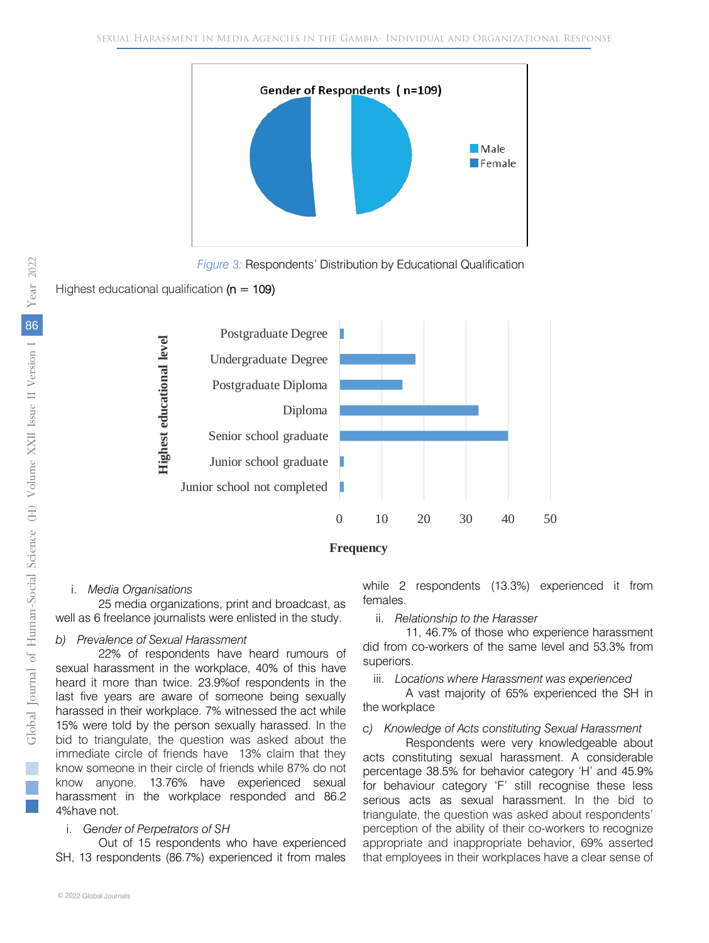

*Figure 3:* Respondents' Distribution by Educational Qualification

# Highest educational qualification  $(n = 109)$



#### i. *Media Organisations*

25 media organizations, print and broadcast, as well as 6 freelance journalists were enlisted in the study.

#### *b) Prevalence of Sexual Harassment*

22% of respondents have heard rumours of sexual harassment in the workplace, 40% of this have heard it more than twice. 23.9%of respondents in the last five years are aware of someone being sexually harassed in their workplace. 7% witnessed the act while 15% were told by the person sexually harassed. In the bid to triangulate, the question was asked about the immediate circle of friends have 13% claim that they know someone in their circle of friends while 87% do not know anyone. 13.76% have experienced sexual harassment in the workplace responded and 86.2 4%have not.

# i. *Gender of Perpetrators of SH*

Out of 15 respondents who have experienced SH, 13 respondents (86.7%) experienced it from males while 2 respondents (13.3%) experienced it from females.

ii. *Relationship to the Harasser*

11, 46.7% of those who experience harassment did from co-workers of the same level and 53.3% from superiors.

iii. *Locations where Harassment was experienced*

A vast majority of 65% experienced the SH in the workplace

#### *c) Knowledge of Acts constituting Sexual Harassment*

Respondents were very knowledgeable about acts constituting sexual harassment. A considerable percentage 38.5% for behavior category 'H' and 45.9% for behaviour category 'F' still recognise these less serious acts as sexual harassment. In the bid to triangulate, the question was asked about respondents' perception of the ability of their co-workers to recognize appropriate and inappropriate behavior, 69% asserted that employees in their workplaces have a clear sense of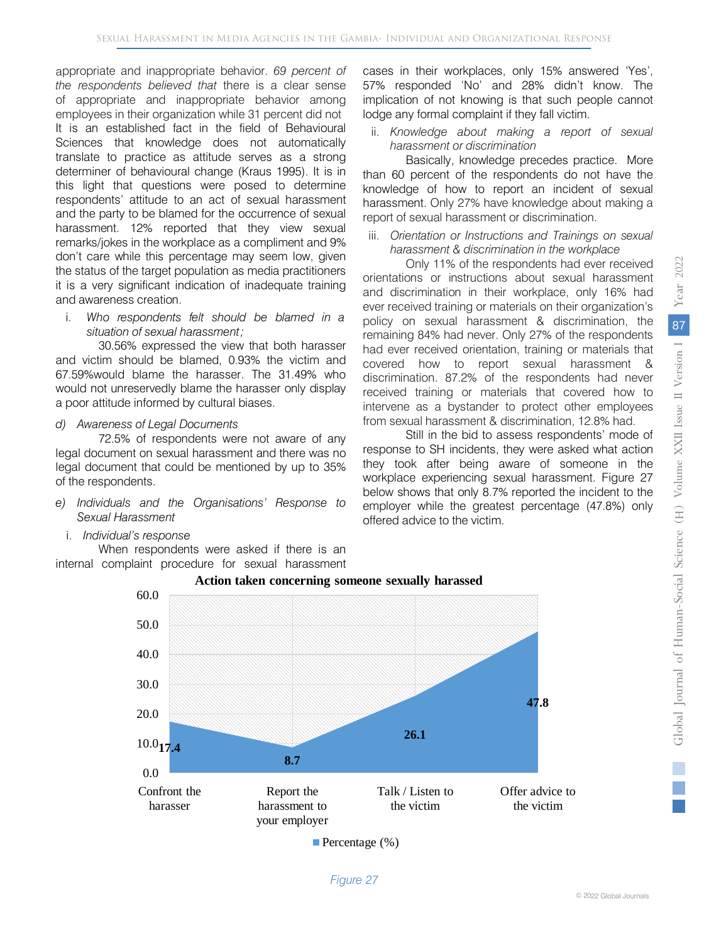appropriate and inappropriate behavior. *69 percent of the respondents believed that* there is a clear sense of appropriate and inappropriate behavior among employees in their organization while 31 percent did not It is an established fact in the field of Behavioural Sciences that knowledge does not automatically translate to practice as attitude serves as a strong determiner of behavioural change (Kraus 1995). It is in this light that questions were posed to determine respondents' attitude to an act of sexual harassment and the party to be blamed for the occurrence of sexual harassment. 12% reported that they view sexual remarks/jokes in the workplace as a compliment and 9% don't care while this percentage may seem low, given the status of the target population as media practitioners it is a very significant indication of inadequate training and awareness creation.

i. *Who respondents felt should be blamed in a situation of sexual harassment;* 

30.56% expressed the view that both harasser and victim should be blamed, 0.93% the victim and 67.59%would blame the harasser. The 31.49% who would not unreservedly blame the harasser only display a poor attitude informed by cultural biases.

#### *d) Awareness of Legal Documents*

72.5% of respondents were not aware of any legal document on sexual harassment and there was no legal document that could be mentioned by up to 35% of the respondents.

- *e) Individuals and the Organisations' Response to Sexual Harassment*
	- i. *Individual's response*

When respondents were asked if there is an internal complaint procedure for sexual harassment cases in their workplaces, only 15% answered 'Yes', 57% responded 'No' and 28% didn't know. The implication of not knowing is that such people cannot lodge any formal complaint if they fall victim.

# ii. *Knowledge about making a report of sexual harassment or discrimination*

Basically, knowledge precedes practice. More than 60 percent of the respondents do not have the knowledge of how to report an incident of sexual harassment. Only 27% have knowledge about making a report of sexual harassment or discrimination.

#### iii. *Orientation or Instructions and Trainings on sexual harassment & discrimination in the workplace*

Only 11% of the respondents had ever received orientations or instructions about sexual harassment and discrimination in their workplace, only 16% had ever received training or materials on their organization's policy on sexual harassment & discrimination, the remaining 84% had never. Only 27% of the respondents had ever received orientation, training or materials that covered how to report sexual harassment & discrimination. 87.2% of the respondents had never received training or materials that covered how to intervene as a bystander to protect other employees from sexual harassment & discrimination, 12.8% had.

Still in the bid to assess respondents' mode of response to SH incidents, they were asked what action they took after being aware of someone in the workplace experiencing sexual harassment. Figure 27 below shows that only 8.7% reported the incident to the employer while the greatest percentage (47.8%) only offered advice to the victim.



**Percentage** (%)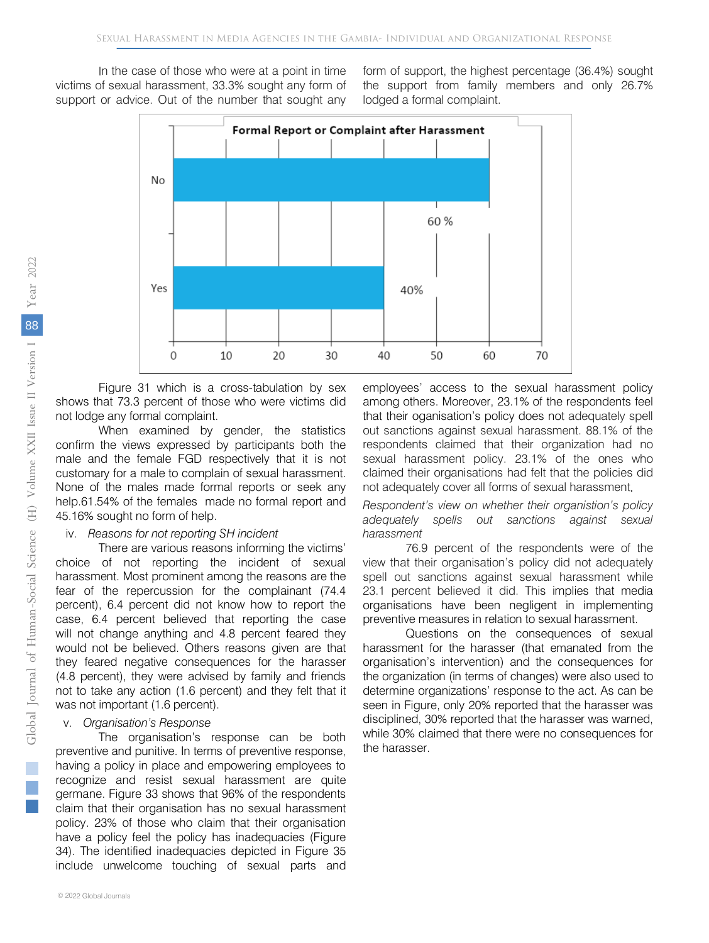In the case of those who were at a point in time victims of sexual harassment, 33.3% sought any form of support or advice. Out of the number that sought any form of support, the highest percentage (36.4%) sought the support from family members and only 26.7% lodged a formal complaint.



Figure 31 which is a cross-tabulation by sex shows that 73.3 percent of those who were victims did not lodge any formal complaint.

When examined by gender, the statistics confirm the views expressed by participants both the male and the female FGD respectively that it is not customary for a male to complain of sexual harassment. None of the males made formal reports or seek any help.61.54% of the females made no formal report and 45.16% sought no form of help.

#### iv. *Reasons for not reporting SH incident*

There are various reasons informing the victims' choice of not reporting the incident of sexual harassment. Most prominent among the reasons are the fear of the repercussion for the complainant (74.4 percent), 6.4 percent did not know how to report the case, 6.4 percent believed that reporting the case will not change anything and 4.8 percent feared they would not be believed. Others reasons given are that they feared negative consequences for the harasser (4.8 percent), they were advised by family and friends not to take any action (1.6 percent) and they felt that it was not important (1.6 percent).

#### v. *Organisation's Response*

The organisation's response can be both preventive and punitive. In terms of preventive response, having a policy in place and empowering employees to recognize and resist sexual harassment are quite germane. Figure 33 shows that 96% of the respondents claim that their organisation has no sexual harassment policy. 23% of those who claim that their organisation have a policy feel the policy has inadequacies (Figure 34). The identified inadequacies depicted in Figure 35 include unwelcome touching of sexual parts and

employees' access to the sexual harassment policy among others. Moreover, 23.1% of the respondents feel that their oganisation's policy does not adequately spell out sanctions against sexual harassment. 88.1% of the respondents claimed that their organization had no sexual harassment policy. 23.1% of the ones who claimed their organisations had felt that the policies did not adequately cover all forms of sexual harassment.

*Respondent's view on whether their organistion's policy adequately spells out sanctions against sexual harassment*

76.9 percent of the respondents were of the view that their organisation's policy did not adequately spell out sanctions against sexual harassment while 23.1 percent believed it did. This implies that media organisations have been negligent in implementing preventive measures in relation to sexual harassment.

Questions on the consequences of sexual harassment for the harasser (that emanated from the organisation's intervention) and the consequences for the organization (in terms of changes) were also used to determine organizations' response to the act. As can be seen in Figure, only 20% reported that the harasser was disciplined, 30% reported that the harasser was warned, while 30% claimed that there were no consequences for the harasser.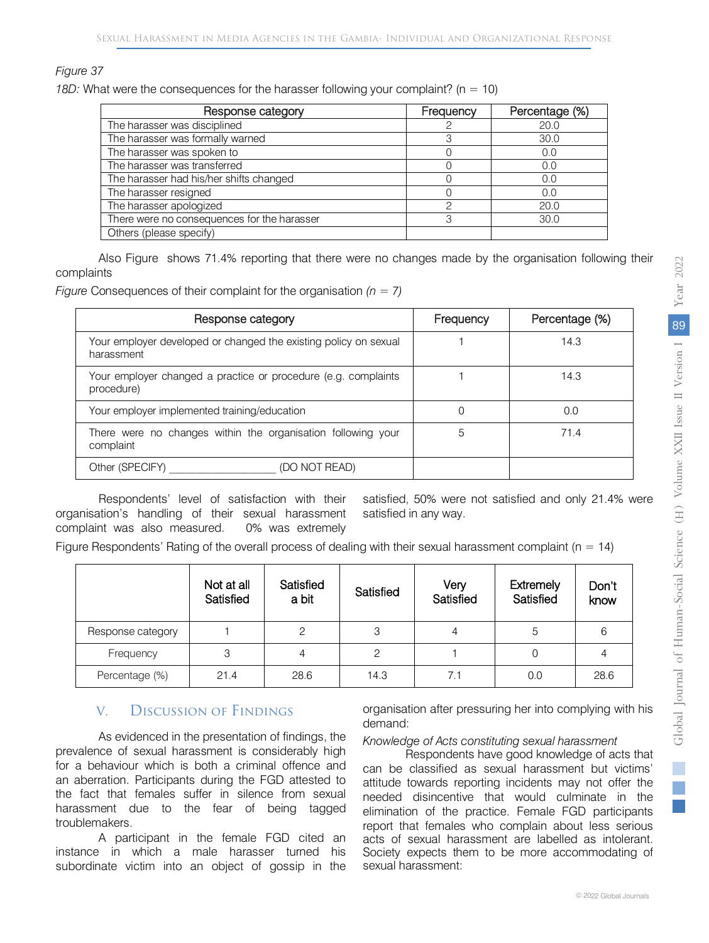#### *Figure 37*

*18D:* What were the consequences for the harasser following your complaint? (n = 10)

| Response category                           | Frequency | Percentage (%) |  |
|---------------------------------------------|-----------|----------------|--|
| The harasser was disciplined                |           | 20.0           |  |
| The harasser was formally warned            |           | 30.0           |  |
| The harasser was spoken to                  |           | 0.0            |  |
| The harasser was transferred                |           | 0.0            |  |
| The harasser had his/her shifts changed     |           | 0.0            |  |
| The harasser resigned                       |           | 0.0            |  |
| The harasser apologized                     |           | 20.0           |  |
| There were no consequences for the harasser | ₽         | 30.0           |  |
| Others (please specify)                     |           |                |  |

Also Figure shows 71.4% reporting that there were no changes made by the organisation following their complaints

*Figure* Consequences of their complaint for the organisation *(n = 7)*

| Response category                                                              | Frequency | Percentage (%) |  |
|--------------------------------------------------------------------------------|-----------|----------------|--|
| Your employer developed or changed the existing policy on sexual<br>harassment |           | 14.3           |  |
| Your employer changed a practice or procedure (e.g. complaints<br>procedure)   |           | 14.3           |  |
| Your employer implemented training/education                                   |           | 0.0            |  |
| There were no changes within the organisation following your<br>complaint      | 71.4<br>5 |                |  |
| Other (SPECIFY)<br>(DO NOT READ)                                               |           |                |  |

Respondents' level of satisfaction with their organisation's handling of their sexual harassment complaint was also measured. 0% was extremely

satisfied, 50% were not satisfied and only 21.4% were satisfied in any way.

Figure Respondents' Rating of the overall process of dealing with their sexual harassment complaint ( $n = 14$ )

|                   | Not at all<br>Satisfied | Satisfied<br>a bit | Satisfied | Very<br>Satisfied | Extremely<br>Satisfied | Don't<br>know |
|-------------------|-------------------------|--------------------|-----------|-------------------|------------------------|---------------|
| Response category |                         | 2                  | З         |                   | 5                      |               |
| Frequency         | З                       | 4                  | 2         |                   |                        |               |
| Percentage (%)    | 21.4                    | 28.6               | 14.3      | 7.1               | 0.0                    | 28.6          |

# V. Discussion of Findings

As evidenced in the presentation of findings, the prevalence of sexual harassment is considerably high for a behaviour which is both a criminal offence and an aberration. Participants during the FGD attested to the fact that females suffer in silence from sexual harassment due to the fear of being tagged troublemakers.

A participant in the female FGD cited an instance in which a male harasser turned his subordinate victim into an object of gossip in the

organisation after pressuring her into complying with his demand:

#### *Knowledge of Acts constituting sexual harassment*

Respondents have good knowledge of acts that can be classified as sexual harassment but victims' attitude towards reporting incidents may not offer the needed disincentive that would culminate in the elimination of the practice. Female FGD participants report that females who complain about less serious acts of sexual harassment are labelled as intolerant. Society expects them to be more accommodating of sexual harassment: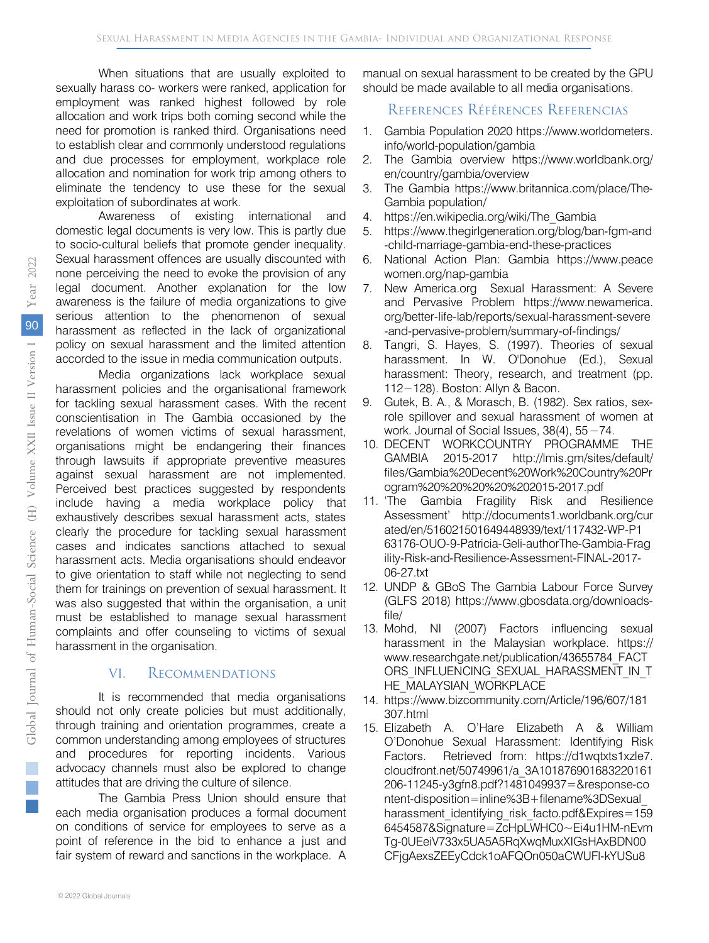When situations that are usually exploited to sexually harass co- workers were ranked, application for employment was ranked highest followed by role allocation and work trips both coming second while the need for promotion is ranked third. Organisations need to establish clear and commonly understood regulations and due processes for employment, workplace role allocation and nomination for work trip among others to eliminate the tendency to use these for the sexual exploitation of subordinates at work.

Awareness of existing international and domestic legal documents is very low. This is partly due to socio-cultural beliefs that promote gender inequality. Sexual harassment offences are usually discounted with none perceiving the need to evoke the provision of any legal document. Another explanation for the low awareness is the failure of media organizations to give serious attention to the phenomenon of sexual harassment as reflected in the lack of organizational policy on sexual harassment and the limited attention accorded to the issue in media communication outputs.

Media organizations lack workplace sexual harassment policies and the organisational framework for tackling sexual harassment cases. With the recent conscientisation in The Gambia occasioned by the revelations of women victims of sexual harassment, organisations might be endangering their finances through lawsuits if appropriate preventive measures against sexual harassment are not implemented. Perceived best practices suggested by respondents include having a media workplace policy that exhaustively describes sexual harassment acts, states clearly the procedure for tackling sexual harassment cases and indicates sanctions attached to sexual harassment acts. Media organisations should endeavor to give orientation to staff while not neglecting to send them for trainings on prevention of sexual harassment. It was also suggested that within the organisation, a unit must be established to manage sexual harassment complaints and offer counseling to victims of sexual harassment in the organisation.

# VI. Recommendations

It is recommended that media organisations should not only create policies but must additionally, through training and orientation programmes, create a common understanding among employees of structures and procedures for reporting incidents. Various advocacy channels must also be explored to change attitudes that are driving the culture of silence.

The Gambia Press Union should ensure that each media organisation produces a formal document on conditions of service for employees to serve as a point of reference in the bid to enhance a just and fair system of reward and sanctions in the workplace. A

# References Références Referencias

- 1. Gambia Population 2020 https://www.worldometers. info/world-population/gambia
- 2. The Gambia overview https://www.worldbank.org/ en/country/gambia/overview
- 3. The Gambia [https://www.britannica.com/place/The-](https://www.britannica.com/place/The-Gambia)[Gambia](https://www.britannica.com/place/The-Gambia) population/
- 4. [https://en.wikipedia.org/wiki/The\\_Gambia](https://en.wikipedia.org/wiki/The_Gambia)
- 5. https://www.thegirlgeneration.org/blog/ban-fgm-and -child-marriage-gambia-end-these-practices
- 6. National Action Plan: Gambia https://www.peace women.org/nap-gambia
- 7. New America.org Sexual Harassment: A Severe and Pervasive Problem https://www.newamerica. org/better-life-lab/reports/sexual-harassment-severe -and-pervasive-problem/summary-of-findings/
- 8. Tangri, S. Hayes, S. (1997). Theories of sexual harassment. In W. O'Donohue (Ed.), Sexual harassment: Theory, research, and treatment (pp. 112−128). Boston: Allyn & Bacon.
- 9. Gutek, B. A., & Morasch, B. (1982). Sex ratios, sexrole spillover and sexual harassment of women at work. Journal of Social Issues, 38(4), 55−74.
- 10. DECENT WORKCOUNTRY PROGRAMME THE GAMBIA 2015-2017 http://lmis.gm/sites/default/ files/Gambia%20Decent%20Work%20Country%20Pr ogram%20%20%20%20%202015-2017.pdf
- 11. 'The Gambia Fragility Risk and Resilience Assessment' http://documents1.worldbank.org/cur ated/en/516021501649448939/text/117432-WP-P1 63176-OUO-9-Patricia-Geli-authorThe-Gambia-Frag ility-Risk-and-Resilience-Assessment-FINAL-2017- 06-27.txt
- 12. UNDP & GBoS The Gambia Labour Force Survey (GLFS 2018) [https://www.gbosdata.org/downloads](https://www.gbosdata.org/downloads-file/)[file/](https://www.gbosdata.org/downloads-file/)
- 13. Mohd, NI (2007) Factors influencing sexual harassment in the Malaysian workplace. https:// www.researchgate.net/publication/43655784\_FACT ORS\_INFLUENCING\_SEXUAL\_HARASSMENT\_IN\_T HE\_MALAYSIAN\_WORKPLACE
- 14. https://www.bizcommunity.com/Article/196/607/181 307.html 15. Elizabeth A. O'Hare Elizabeth A & William
- O'Donohue Sexual Harassment: Identifying Risk Factors. Retrieved from: https://d1wqtxts1xzle7. cloudfront.net/50749961/a\_3A101876901683220161 206-11245-y3gfn8.pdf?1481049937=&response-co ntent-disposition=inline%3B+filename%3DSexual\_ harassment identifying risk facto.pdf&Expires=159 6454587&Signature=ZcHpLWHC0~Ei4u1HM-nEvm Tg-0UEeiV733x5UA5A5RqXwqMuxXIGsHAxBDN00 CFjgAexsZEEyCdck1oAFQOn050aCWUFl-kYUSu8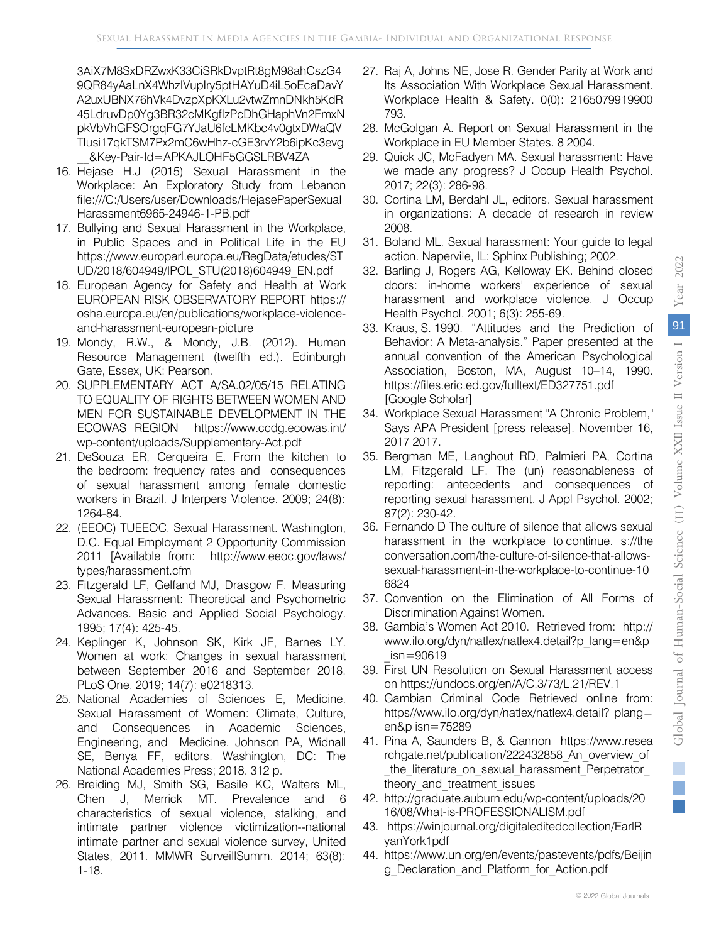2022

3AiX7M8SxDRZwxK33CiSRkDvptRt8gM98ahCszG4 9QR84yAaLnX4WhzIVupIry5ptHAYuD4iL5oEcaDavY A2uxUBNX76hVk4DvzpXpKXLu2vtwZmnDNkh5KdR 45LdruvDp0Yg3BR32cMKgfIzPcDhGHaphVn2FmxN pkVbVhGFSOrgqFG7YJaU6fcLMKbc4v0gtxDWaQV Tlusi17qkTSM7Px2mC6wHhz-cGE3rvY2b6ipKc3evg \_\_&Key-Pair-Id=APKAJLOHF5GGSLRBV4ZA

- 16. Hejase H.J (2015) Sexual Harassment in the Workplace: An Exploratory Study from Lebanon file:///C:/Users/user/Downloads/HejasePaperSexual Harassment6965-24946-1-PB.pdf
- 17. Bullying and Sexual Harassment in the Workplace, in Public Spaces and in Political Life in the EU [https://www.europarl.europa.eu/RegData/etudes/ST](https://www.europarl.europa.eu/RegData/etudes/STUD/2018/604949/IPOL_STU(2018)604949_EN.pdf) [UD/2018/604949/IPOL\\_STU\(2018\)604949\\_EN.pdf](https://www.europarl.europa.eu/RegData/etudes/STUD/2018/604949/IPOL_STU(2018)604949_EN.pdf)
- 18. European Agency for Safety and Health at Work EUROPEAN RISK OBSERVATORY REPORT https:// osha.europa.eu/en/publications/workplace-violenceand-harassment-european-picture
- 19. Mondy, R.W., & Mondy, J.B. (2012). Human Resource Management (twelfth ed.). Edinburgh Gate, Essex, UK: Pearson.
- 20. SUPPLEMENTARY ACT A/SA.02/05/15 RELATING TO EQUALITY OF RIGHTS BETWEEN WOMEN AND MEN FOR SUSTAINABLE DEVELOPMENT IN THE ECOWAS REGION https://www.ccdg.ecowas.int/ wp-content/uploads/Supplementary-Act.pdf
- 21. DeSouza ER, Cerqueira E. From the kitchen to the bedroom: frequency rates and consequences of sexual harassment among female domestic workers in Brazil. J Interpers Violence. 2009; 24(8): 1264-84.
- 22. (EEOC) TUEEOC. Sexual Harassment. Washington, D.C. Equal Employment 2 Opportunity Commission 2011 [Available from: http://www.eeoc.gov/laws/ types/harassment.cfm
- 23. Fitzgerald LF, Gelfand MJ, Drasgow F. Measuring Sexual Harassment: Theoretical and Psychometric Advances. Basic and Applied Social Psychology. 1995; 17(4): 425-45.
- 24. Keplinger K, Johnson SK, Kirk JF, Barnes LY. Women at work: Changes in sexual harassment between September 2016 and September 2018. PLoS One. 2019; 14(7): e0218313.
- 25. National Academies of Sciences E, Medicine. Sexual Harassment of Women: Climate, Culture, and Consequences in Academic Sciences, Engineering, and Medicine. Johnson PA, Widnall SE, Benya FF, editors. Washington, DC: The National Academies Press; 2018. 312 p.
- 26. Breiding MJ, Smith SG, Basile KC, Walters ML, Chen J, Merrick MT. Prevalence and 6 characteristics of sexual violence, stalking, and intimate partner violence victimization--national intimate partner and sexual violence survey, United States, 2011. MMWR SurveillSumm. 2014; 63(8): 1-18.
- 27. Raj A, Johns NE, Jose R. Gender Parity at Work and Its Association With Workplace Sexual Harassment. Workplace Health & Safety. 0(0): 2165079919900 793.
- 28. McGolgan A. Report on Sexual Harassment in the Workplace in EU Member States. 8 2004.
- 29. Quick JC, McFadyen MA. Sexual harassment: Have we made any progress? J Occup Health Psychol. 2017; 22(3): 286-98.
- 30. Cortina LM, Berdahl JL, editors. Sexual harassment in organizations: A decade of research in review 2008.
- 31. Boland ML. Sexual harassment: Your guide to legal action. Napervile, IL: Sphinx Publishing; 2002.
- 32. Barling J, Rogers AG, Kelloway EK. Behind closed doors: in-home workers' experience of sexual harassment and workplace violence. J Occup Health Psychol. 2001; 6(3): 255-69.
- 33. Kraus, S. 1990. "Attitudes and the Prediction of Behavior: A Meta-analysis." Paper presented at the annual convention of the American Psychological Association, Boston, MA, August 10–14, 1990. https://files.eric.ed.gov/fulltext/ED327751.pdf [\[Google Scholar\]](http://scholar.google.com/scholar?hl=en&q=Kraus%2C+S.+1990.+%E2%80%9CAttitudes+and+the+Prediction+of+Behavior%3A+A+Meta-analysis.%E2%80%9D+Paper+presented+at+the+annual+convention+of+the+American+Psychological+Association%2C+Boston%2C+MA%2C+August+10%E2%80%9314%2C+1990.+https%3A%2F%2Ffiles.eric.ed.gov%2Ffulltext%2FED327751.pdf)
- 34. Workplace Sexual Harassment "A Chronic Problem," Says APA President [press release]. November 16, 2017 2017.
- 35. Bergman ME, Langhout RD, Palmieri PA, Cortina LM, Fitzgerald LF. The (un) reasonableness of reporting: antecedents and consequences of reporting sexual harassment. J Appl Psychol. 2002; 87(2): 230-42.
- 36. Fernando D The culture of silence that allows sexual harassment in the workplace to continue. s://the conversation.com/the-culture-of-silence-that-allowssexual-harassment-in-the-workplace-to-continue-10 6824
- 37. Convention on the Elimination of All Forms of Discrimination Against Women.
- 38. Gambia's Women Act 2010. Retrieved from: http:// www.ilo.org/dyn/natlex/natlex4.detail?p\_lang=en&p  $isn = 90619$
- 39. First UN Resolution on Sexual Harassment access on<https://undocs.org/en/A/C.3/73/L.21/REV.1>
- 40. Gambian Criminal Code Retrieved online from: https//www.ilo.org/dyn/natlex/natlex4.detail? plang= en&p isn=75289
- 41. Pina A, Saunders B, & Gannon https://www.resea rchgate.net/publication/222432858\_An\_overview\_of the literature on sexual harassment Perpetrator theory and treatment issues
- 42. http://graduate.auburn.edu/wp-content/uploads/20 16/08/What-is-PROFESSIONALISM.pdf
- 43. https://winjournal.org/digitaleditedcollection/EarlR yanYork1pdf
- 44. [https://www.un.org/en/events/pastevents/pdfs/Beijin](https://www.un.org/en/events/pastevents/pdfs/Beijing_Declaration_and_Platform_for_Action.pdf) [g\\_Declaration\\_and\\_Platform\\_for\\_Action.pdf](https://www.un.org/en/events/pastevents/pdfs/Beijing_Declaration_and_Platform_for_Action.pdf)